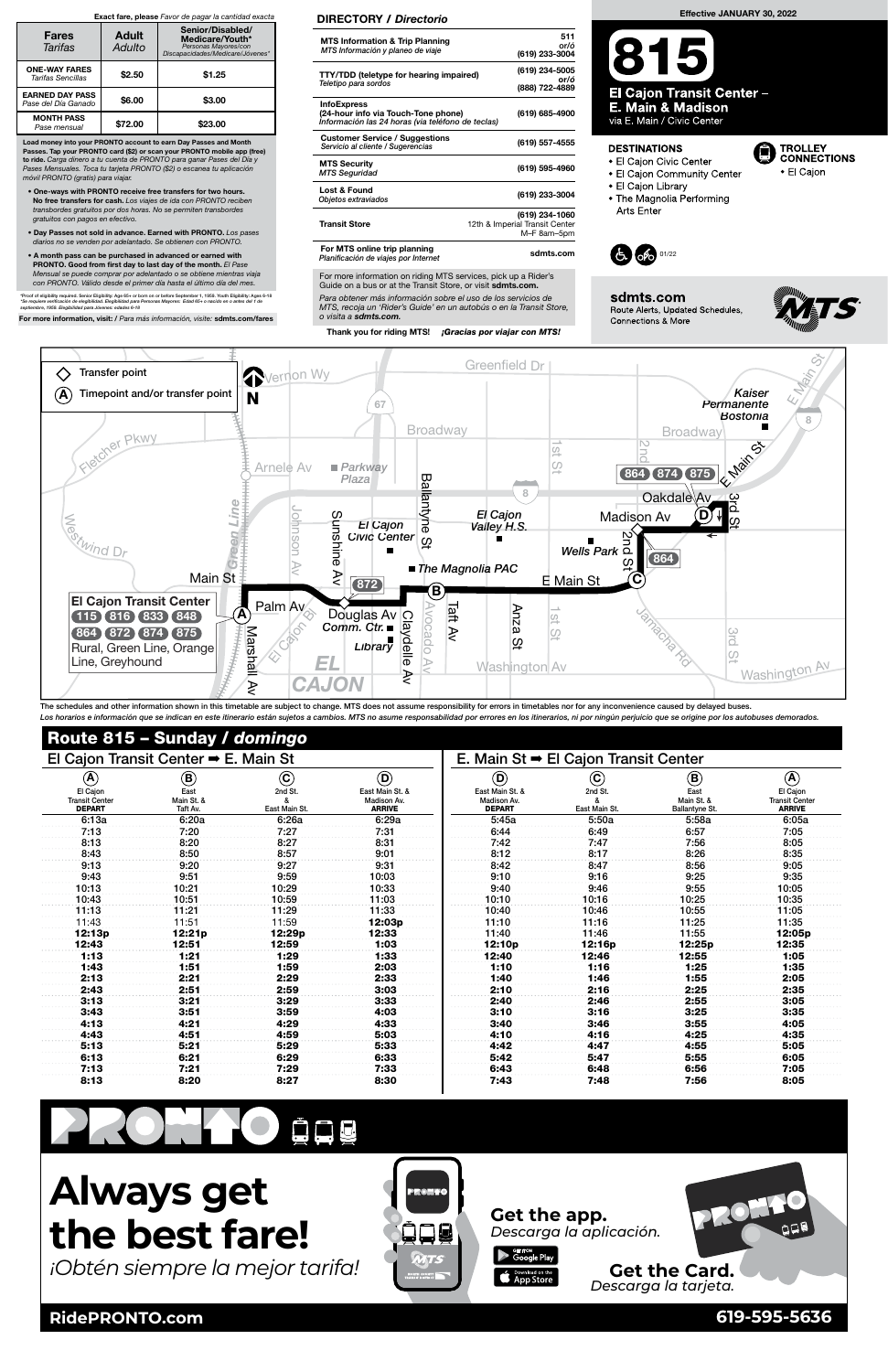

The schedules and other information shown in this timetable are subject to change. MTS does not assume responsibility for errors in timetables nor for any inconvenience caused by delayed buses. Los horarios e información que se indican en este itinerario están sujetos a cambios. MTS no asume responsabilidad por errores en los itinerarios, ni por ningún perjuicio que se origine por los autobuses demorados.

<sup>B</sup>rabha<sup>m</sup> <sup>S</sup><sup>t</sup>

### Route 815 – Sunday / domingo

For more information on riding MTS services, pick up a Rider's Guide on a bus or at the Transit Store, or visit sdmts.com.

| El Cajon Transit Center $\rightarrow$ E. Main St      |                                |                          |                                                 | E. Main St $\rightarrow$ El Cajon Transit Center |                            |                                      |                                                    |
|-------------------------------------------------------|--------------------------------|--------------------------|-------------------------------------------------|--------------------------------------------------|----------------------------|--------------------------------------|----------------------------------------------------|
| $\boldsymbol{\left( \mathbf{\blacktriangle} \right)}$ | $\bf (\bar B)$                 | $\rm ^{(c)}$             | $\circledcirc$                                  | $\left(\mathbf{D}\right)$                        | $\left( \mathbf{c}\right)$ | $\circledR$                          | $\left( \widehat{\mathbf{A}}\right)$               |
| El Cajon<br><b>Transit Center</b><br><b>DEPART</b>    | East<br>Main St. &<br>Taft Av. | 2nd St.<br>East Main St. | East Main St. &<br>Madison Av.<br><b>ARRIVE</b> | East Main St. &<br>Madison Av.<br><b>DEPART</b>  | 2nd St.<br>East Main St.   | East<br>Main St. &<br>Ballantyne St. | El Cajon<br><b>Transit Center</b><br><b>ARRIVE</b> |
| 6:13a                                                 | 6:20a                          | 6:26a                    | 6:29a                                           | 5:45a                                            | 5:50a                      | 5:58a                                | 6:05a                                              |
| 7:13                                                  | 7:20                           | 7:27                     | 7:31                                            | 6:44                                             | 6:49                       | 6:57                                 | 7:05                                               |
| 8:13                                                  | 8:20                           | 8:27                     | 8:31                                            | 7:42                                             | 7:47                       | 7:56                                 | 8:05                                               |
| 8:43                                                  | 8:50                           | 8:57                     | 9:01                                            | 8:12                                             | 8:17                       | 8:26                                 | 8:35                                               |
| 9:13                                                  | 9:20                           | 9:27                     | 9:31                                            | 8:42                                             | 8:47                       | 8:56                                 | 9:05                                               |
| 9:43                                                  | 9:51                           | 9:59                     | 10:03                                           | 9:10                                             | 9:16                       | 9:25                                 | 9:35                                               |
| 10:13                                                 | 10:21                          | 10:29                    | 10:33                                           | 9:40                                             | 9:46                       | 9:55                                 | 10:05                                              |
| 10:43                                                 | 10:51                          | 10:59                    | 11:03                                           | 10:10                                            | 10:16                      | 10:25                                | 10:35                                              |
| 11:13                                                 | 11:21                          | 11:29                    | 11:33                                           | 10:40                                            | 10:46                      | 10:55                                | 11:05                                              |
| 11:43                                                 | 11:51                          | 11:59                    | 12:03p                                          | 11:10                                            | 11:16                      | 11:25                                | 11:35                                              |
| 12:13p                                                | 12:21 <sub>p</sub>             | 12:29 <sub>p</sub>       | 12:33                                           | 11:40                                            | 11:46                      | 11:55                                | 12:05 <sub>p</sub>                                 |
| 12:43                                                 | 12:51                          | 12:59                    | 1:03                                            | 12:10p                                           | 12:16p                     | 12:25p                               | 12:35                                              |
| 1:13                                                  | 1:21                           | 1:29                     | 1:33                                            | 12:40                                            | 12:46                      | 12:55                                | 1:05                                               |
| 1:43                                                  | 1:51                           | 1:59                     | 2:03                                            | 1:10                                             | 1:16                       | 1:25                                 | 1:35                                               |
| 2:13                                                  | 2:21                           | 2:29                     | 2:33                                            | 1:40                                             | 1:46                       | 1:55                                 | 2:05                                               |
| 2:43                                                  | 2:51                           | 2:59                     | 3:03                                            | 2:10                                             | 2:16                       | 2:25                                 | 2:35                                               |
| 3:13                                                  | 3:21                           | 3:29                     | 3:33                                            | 2:40                                             | 2:46                       | 2:55                                 | 3:05                                               |

Para obtener más información sobre el uso de los servicios de MTS, recoja un 'Rider's Guide' en un autobús o en la Transit Store, o visita a sdmts.com.

Thank you for riding MTS! **¡Gracias por viajar con MTS!** 

| 1.12        | A.O.    | 4.90 | <b>A.OO</b> | $3 - 40$   | 3.46     | 2.55    | $\Delta \cdot \Delta E$ |
|-------------|---------|------|-------------|------------|----------|---------|-------------------------|
| 1.12        | 8 . E 4 | 4:59 | 5:03        | . <b>.</b> | $4 - 40$ | 4:25    | $\lambda - \Delta E$    |
| 5.42        | Е.Л     | 5.20 | E.OO        | 1.49       | 4 . A .  | $A$ .ee | 5:05                    |
| <b>C.49</b> |         | 6.20 | c.og<br>л.  | 5.42       | E.A.     | 5:55    | 6:05                    |
| 7.40        |         | 7.00 | ' 3.        | 6.A2       | 6:48     | 6:56    | 7:05                    |
| 0.40        |         | 0.07 | 8:30        | 7.42       | 7.AR     | 7:56    | 8:05                    |

# PROTHOMER



 For MTS online trip planning Planificación de viajes por Internet<br>Planificación de viajes por Internet

**RidePRONTO.com 619-595-5636**

## **Always get the best fare!**

*¡Obtén siempre la mejor tarifa!*

#### DIRECTORY / Directorio

| <b>MTS Information &amp; Trip Planning</b><br>MTS Información y planeo de viaje                                | 511<br>or/ó<br>(619) 233-3004                                   |
|----------------------------------------------------------------------------------------------------------------|-----------------------------------------------------------------|
| <b>TTY/TDD (teletype for hearing impaired)</b><br>Teletipo para sordos                                         | (619) 234-5005<br>or/ó<br>(888) 722-4889                        |
| <b>InfoExpress</b><br>(24-hour info via Touch-Tone phone)<br>Información las 24 horas (via teléfono de teclas) | (619) 685-4900                                                  |
| <b>Customer Service / Suggestions</b><br>Servicio al cliente / Sugerencias                                     | (619) 557-4555                                                  |
| <b>MTS Security</b><br><b>MTS Seguridad</b>                                                                    | (619) 595-4960                                                  |
| Lost & Found<br>Objetos extraviados                                                                            | (619) 233-3004                                                  |
| <b>Transit Store</b>                                                                                           | (619) 234-1060<br>12th & Imperial Transit Center<br>M-F 8am-5pm |

Load money into your PRONTO account to earn Day Passes and Month Passes. Tap your PRONTO card (\$2) or scan your PRONTO mobile app (free) to ride. Carga dinero a tu cuenta de PRONTO para ganar Pases del Día y Pases Mensuales. Toca tu tarjeta PRONTO (\$2) o escanea tu aplicación móvil PRONTO (gratis) para viajar.

- One-ways with PRONTO receive free transfers for two hours. No free transfers for cash. Los viajes de ida con PRONTO reciben transbordes gratuitos por dos horas. No se permiten transbordes gratuitos con pagos en efectivo.
- Day Passes not sold in advance. Earned with PRONTO. Los pases diarios no se venden por adelantado. Se obtienen con PRONTO.
- A month pass can be purchased in advanced or earned with PRONTO. Good from first day to last day of the month. El Pase Mensual se puede comprar por adelantado o se obtiene mientras viaja con PRONTO. Válido desde el primer día hasta el último día del mes.

\*Proof of eligibility required. Senior Eligibility: Age 65+ or born on or before September 1, 1959. Youth Eligibility: Ages 6-18<br>\*Se requiere verificación de elegibilidad. Elegibilidad para Personas Mayores: Edad 65+ o nac

For more information, visit: / Para más información, visite: sdmts.com/fares

#### Exact fare, please Favor de pagar la cantidad exacta

| <b>Fares</b><br>Tarifas                       | <b>Adult</b><br>Adulto | Senior/Disabled/<br>Medicare/Youth*<br>Personas Mayores/con<br>Discapacidades/Medicare/Jóvenes* |  |  |
|-----------------------------------------------|------------------------|-------------------------------------------------------------------------------------------------|--|--|
| <b>ONE-WAY FARES</b><br>Tarifas Sencillas     | \$2.50                 | \$1.25                                                                                          |  |  |
| <b>EARNED DAY PASS</b><br>Pase del Día Ganado | \$6.00                 | \$3.00                                                                                          |  |  |
| <b>MONTH PASS</b><br>Pase mensual             | \$72.00                | \$23.00                                                                                         |  |  |

#### Effective JANUARY 30, 2022

**El Cajon Transit Center -E. Main & Madison** via E. Main / Civic Center

#### **DESTINATIONS**

- El Cajon Civic Center
- El Cajon Community Center
- 
- El Cajon Library
- The Magnolia Performing Arts Enter



sdmts.com Route Alerts, Updated Schedules, **Connections & More** 



**TROLLEY<br>CONNECTIONS** 

• El Cajon